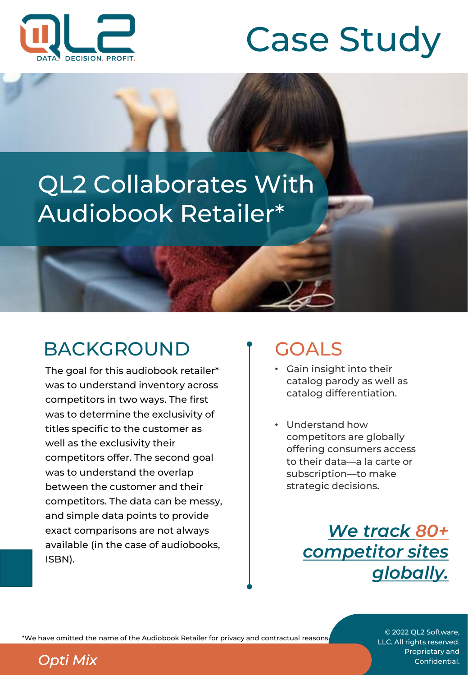



# QL2 Collaborates With Audiobook Retailer\*

## BACKGROUND

The goal for this audiobook retailer\* was to understand inventory across competitors in two ways. The first was to determine the exclusivity of titles specific to the customer as well as the exclusivity their competitors offer. The second goal was to understand the overlap between the customer and their competitors. The data can be messy, and simple data points to provide exact comparisons are not always available (in the case of audiobooks, ISBN).

## GOALS

- Gain insight into their catalog parody as well as catalog differentiation.
- Understand how competitors are globally offering consumers access to their data—a la carte or subscription—to make strategic decisions.

*We track 80+ competitor sites globally.*

\*We have omitted the name of the Audiobook Retailer for privacy and contractual reasons.

© 2022 QL2 Software, LLC. All rights reserved. Proprietary and **Opti Mix** Confidential.